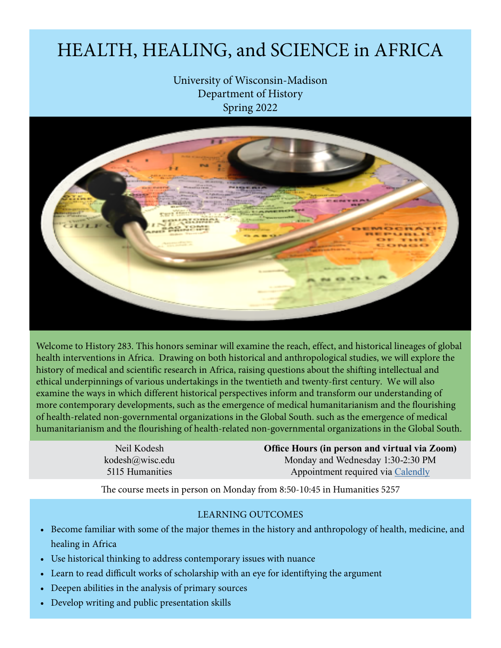# HEALTH, HEALING, and SCIENCE in AFRICA

University of Wisconsin-Madison Department of History Spring 2022



Welcome to History 283. This honors seminar will examine the reach, effect, and historical lineages of global health interventions in Africa. Drawing on both historical and anthropological studies, we will explore the history of medical and scientific research in Africa, raising questions about the shifting intellectual and ethical underpinnings of various undertakings in the twentieth and twenty-first century. We will also examine the ways in which different historical perspectives inform and transform our understanding of more contemporary developments, such as the emergence of medical humanitarianism and the flourishing of health-related non-governmental organizations in the Global South. such as the emergence of medical humanitarianism and the flourishing of health-related non-governmental organizations in the Global South.

> Neil Kodesh kodesh@wisc.edu 5115 Humanities

**Office Hours (in person and virtual via Zoom)** Monday and Wednesday 1:30-2:30 PM Appointment required via Calendly

The course meets in person on Monday from 8:50-10:45 in Humanities 5257

#### LEARNING OUTCOMES

- Become familiar with some of the major themes in the history and anthropology of health, medicine, and healing in Africa
- Use historical thinking to address contemporary issues with nuance
- Learn to read difficult works of scholarship with an eye for identiftying the argument
- Deepen abilities in the analysis of primary sources
- Develop writing and public presentation skills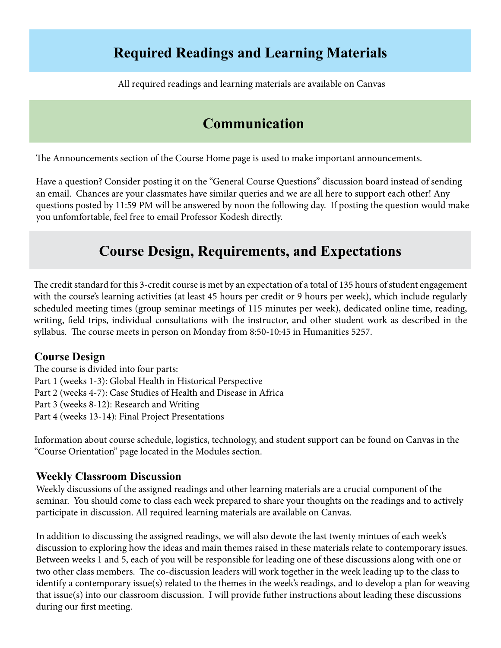## **Required Readings and Learning Materials**

All required readings and learning materials are available on Canvas

## **Communication**

The Announcements section of the Course Home page is used to make important announcements.

Have a question? Consider posting it on the "General Course Questions" discussion board instead of sending an email. Chances are your classmates have similar queries and we are all here to support each other! Any questions posted by 11:59 PM will be answered by noon the following day. If posting the question would make you unfomfortable, feel free to email Professor Kodesh directly.

## **Course Design, Requirements, and Expectations**

The credit standard for this 3-credit course is met by an expectation of a total of 135 hours of student engagement with the course's learning activities (at least 45 hours per credit or 9 hours per week), which include regularly scheduled meeting times (group seminar meetings of 115 minutes per week), dedicated online time, reading, writing, field trips, individual consultations with the instructor, and other student work as described in the syllabus. The course meets in person on Monday from 8:50-10:45 in Humanities 5257.

### **Course Design**

The course is divided into four parts: Part 1 (weeks 1-3): Global Health in Historical Perspective Part 2 (weeks 4-7): Case Studies of Health and Disease in Africa Part 3 (weeks 8-12): Research and Writing Part 4 (weeks 13-14): Final Project Presentations

Information about course schedule, logistics, technology, and student support can be found on Canvas in the "Course Orientation" page located in the Modules section.

### **Weekly Classroom Discussion**

Weekly discussions of the assigned readings and other learning materials are a crucial component of the seminar. You should come to class each week prepared to share your thoughts on the readings and to actively participate in discussion. All required learning materials are available on Canvas.

In addition to discussing the assigned readings, we will also devote the last twenty mintues of each week's discussion to exploring how the ideas and main themes raised in these materials relate to contemporary issues. Between weeks 1 and 5, each of you will be responsible for leading one of these discussions along with one or two other class members. The co-discussion leaders will work together in the week leading up to the class to identify a contemporary issue(s) related to the themes in the week's readings, and to develop a plan for weaving that issue(s) into our classroom discussion. I will provide futher instructions about leading these discussions during our first meeting.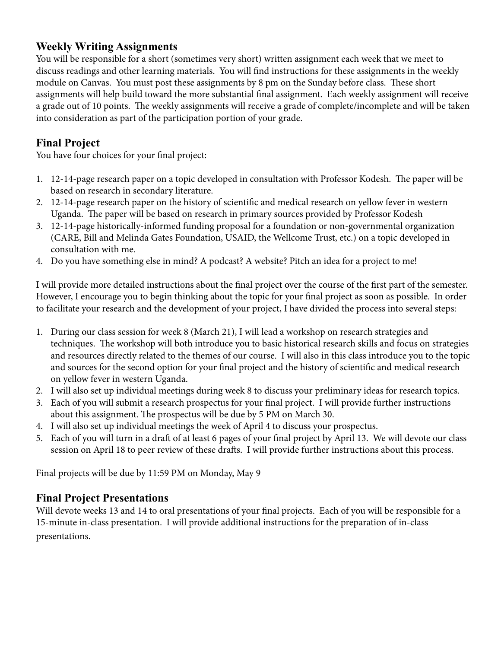## **Weekly Writing Assignments**

You will be responsible for a short (sometimes very short) written assignment each week that we meet to discuss readings and other learning materials. You will find instructions for these assignments in the weekly module on Canvas. You must post these assignments by 8 pm on the Sunday before class. These short assignments will help build toward the more substantial final assignment. Each weekly assignment will receive a grade out of 10 points. The weekly assignments will receive a grade of complete/incomplete and will be taken into consideration as part of the participation portion of your grade.

## **Final Project**

You have four choices for your final project:

- 1. 12-14-page research paper on a topic developed in consultation with Professor Kodesh. The paper will be based on research in secondary literature.
- 2. 12-14-page research paper on the history of scientific and medical research on yellow fever in western Uganda. The paper will be based on research in primary sources provided by Professor Kodesh
- 3. 12-14-page historically-informed funding proposal for a foundation or non-governmental organization (CARE, Bill and Melinda Gates Foundation, USAID, the Wellcome Trust, etc.) on a topic developed in consultation with me.
- 4. Do you have something else in mind? A podcast? A website? Pitch an idea for a project to me!

I will provide more detailed instructions about the final project over the course of the first part of the semester. However, I encourage you to begin thinking about the topic for your final project as soon as possible. In order to facilitate your research and the development of your project, I have divided the process into several steps:

- 1. During our class session for week 8 (March 21), I will lead a workshop on research strategies and techniques. The workshop will both introduce you to basic historical research skills and focus on strategies and resources directly related to the themes of our course. I will also in this class introduce you to the topic and sources for the second option for your final project and the history of scientific and medical research on yellow fever in western Uganda.
- 2. I will also set up individual meetings during week 8 to discuss your preliminary ideas for research topics.
- 3. Each of you will submit a research prospectus for your final project. I will provide further instructions about this assignment. The prospectus will be due by 5 PM on March 30.
- 4. I will also set up individual meetings the week of April 4 to discuss your prospectus.
- 5. Each of you will turn in a draft of at least 6 pages of your final project by April 13. We will devote our class session on April 18 to peer review of these drafts. I will provide further instructions about this process.

Final projects will be due by 11:59 PM on Monday, May 9

### **Final Project Presentations**

Will devote weeks 13 and 14 to oral presentations of your final projects. Each of you will be responsible for a 15-minute in-class presentation. I will provide additional instructions for the preparation of in-class presentations.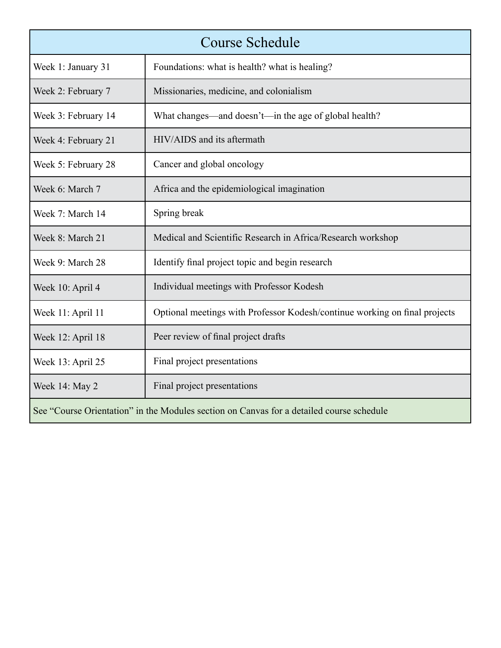|                     | <b>Course Schedule</b>                                                                   |
|---------------------|------------------------------------------------------------------------------------------|
| Week 1: January 31  | Foundations: what is health? what is healing?                                            |
| Week 2: February 7  | Missionaries, medicine, and colonialism                                                  |
| Week 3: February 14 | What changes—and doesn't—in the age of global health?                                    |
| Week 4: February 21 | HIV/AIDS and its aftermath                                                               |
| Week 5: February 28 | Cancer and global oncology                                                               |
| Week 6: March 7     | Africa and the epidemiological imagination                                               |
| Week 7: March 14    | Spring break                                                                             |
| Week 8: March 21    | Medical and Scientific Research in Africa/Research workshop                              |
| Week 9: March 28    | Identify final project topic and begin research                                          |
| Week 10: April 4    | Individual meetings with Professor Kodesh                                                |
| Week 11: April 11   | Optional meetings with Professor Kodesh/continue working on final projects               |
| Week 12: April 18   | Peer review of final project drafts                                                      |
| Week 13: April 25   | Final project presentations                                                              |
| Week 14: May 2      | Final project presentations                                                              |
|                     | See "Course Orientation" in the Modules section on Canvas for a detailed course schedule |